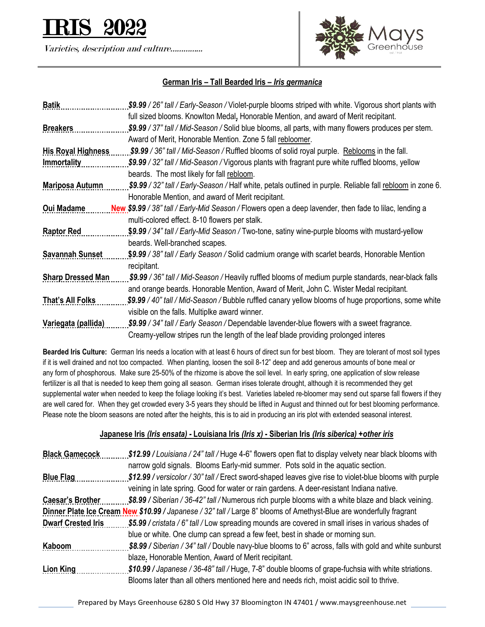

Varieties, description and culture…………...



## **German Iris – Tall Bearded Iris –** *Iris germanica*

| <b>Batik</b>              | \$9.99 / 26" tall / Early-Season / Violet-purple blooms striped with white. Vigorous short plants with     |
|---------------------------|------------------------------------------------------------------------------------------------------------|
|                           | full sized blooms. Knowlton Medal, Honorable Mention, and award of Merit recipitant.                       |
| <b>Breakers</b>           | \$9.99 / 37" tall / Mid-Season / Solid blue blooms, all parts, with many flowers produces per stem.        |
|                           | Award of Merit, Honorable Mention. Zone 5 fall rebloomer.                                                  |
| <b>His Royal Highness</b> | \$9.99 / 36" tall / Mid-Season / Ruffled blooms of solid royal purple. Reblooms in the fall.               |
| <b>Immortality</b>        | \$9.99 / 32" tall / Mid-Season / Vigorous plants with fragrant pure white ruffled blooms, yellow           |
|                           | beards. The most likely for fall rebloom.                                                                  |
| <b>Mariposa Autumn</b>    | \$9.99 / 32" tall / Early-Season / Half white, petals outlined in purple. Reliable fall rebloom in zone 6. |
|                           | Honorable Mention, and award of Merit recipitant.                                                          |
| <b>Oui Madame</b>         | New \$9.99 / 38" tall / Early-Mid Season / Flowers open a deep lavender, then fade to lilac, lending a     |
|                           | multi-colored effect. 8-10 flowers per stalk.                                                              |
| <b>Raptor Red</b>         | \$9.99 / 34" tall / Early-Mid Season / Two-tone, satiny wine-purple blooms with mustard-yellow             |
|                           | beards. Well-branched scapes.                                                                              |
| <b>Savannah Sunset</b>    | \$9.99 / 38" tall / Early Season / Solid cadmium orange with scarlet beards, Honorable Mention             |
|                           | recipitant.                                                                                                |
| <b>Sharp Dressed Man</b>  | \$9.99 / 36" tall / Mid-Season / Heavily ruffled blooms of medium purple standards, near-black falls       |
|                           | and orange beards. Honorable Mention, Award of Merit, John C. Wister Medal recipitant.                     |
| That's All Folks          | \$9.99 / 40" tall / Mid-Season / Bubble ruffled canary yellow blooms of huge proportions, some white       |
|                           | visible on the falls. Multiplke award winner.                                                              |
| Variegata (pallida)       | \$9.99 / 34" tall / Early Season / Dependable lavender-blue flowers with a sweet fragrance.                |
|                           | Creamy-yellow stripes run the length of the leaf blade providing prolonged interes                         |

**Bearded Iris Culture:** German Iris needs a location with at least 6 hours of direct sun for best bloom. They are tolerant of most soil types if it is well drained and not too compacted. When planting, loosen the soil 8-12" deep and add generous amounts of bone meal or any form of phosphorous. Make sure 25-50% of the rhizome is above the soil level. In early spring, one application of slow release fertilizer is all that is needed to keep them going all season. German irises tolerate drought, although it is recommended they get supplemental water when needed to keep the foliage looking it's best. Varieties labeled re-bloomer may send out sparse fall flowers if they are well cared for. When they get crowded every 3-5 years they should be lifted in August and thinned out for best blooming performance. Please note the bloom seasons are noted after the heights, this is to aid in producing an iris plot with extended seasonal interest.

## **Japanese Iris** *(Iris ensata) -* **Louisiana Iris** *(Iris x)* **- Siberian Iris** *(Iris siberica) +other iris*

| <b>Black Gamecock</b>                                                                                                | \$12.99 / Louisiana / 24" tall / Huge 4-6" flowers open flat to display velvety near black blooms with  |
|----------------------------------------------------------------------------------------------------------------------|---------------------------------------------------------------------------------------------------------|
|                                                                                                                      | narrow gold signals. Blooms Early-mid summer. Pots sold in the aquatic section.                         |
| <b>Blue Flag</b>                                                                                                     | \$12.99 / versicolor / 30" tall / Erect sword-shaped leaves give rise to violet-blue blooms with purple |
|                                                                                                                      | veining in late spring. Good for water or rain gardens. A deer-resistant Indiana native.                |
| <b>Caesar's Brother</b>                                                                                              | \$8.99 / Siberian / 36-42" tall / Numerous rich purple blooms with a white blaze and black veining.     |
| Dinner Plate Ice Cream New \$10.99 / Japanese / 32" tall / Large 8" blooms of Amethyst-Blue are wonderfully fragrant |                                                                                                         |
| <b>Dwarf Crested Iris</b>                                                                                            | \$5.99 / cristata / 6" tall / Low spreading mounds are covered in small irises in various shades of     |
|                                                                                                                      | blue or white. One clump can spread a few feet, best in shade or morning sun.                           |
| Kaboom                                                                                                               | \$8.99 / Siberian / 34" tall / Double navy-blue blooms to 6" across, falls with gold and white sunburst |
|                                                                                                                      | blaze. Honorable Mention, Award of Merit recipitant.                                                    |
| Lion King                                                                                                            | \$10.99 / Japanese / 36-48" tall / Huge, 7-8" double blooms of grape-fuchsia with white striations.     |
|                                                                                                                      | Blooms later than all others mentioned here and needs rich, moist acidic soil to thrive.                |